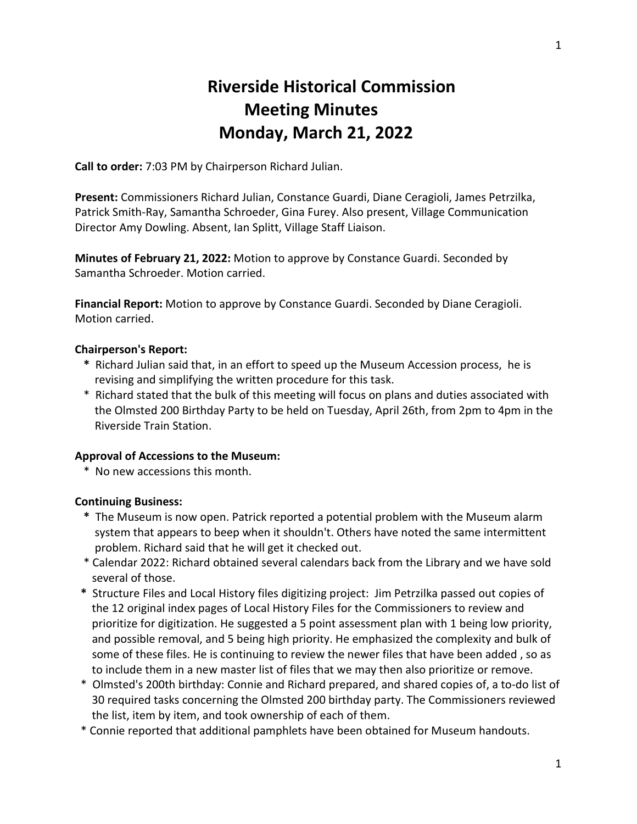# **Riverside Historical Commission Meeting Minutes Monday, March 21, 2022**

**Call to order:** 7:03 PM by Chairperson Richard Julian.

**Present:** Commissioners Richard Julian, Constance Guardi, Diane Ceragioli, James Petrzilka, Patrick Smith-Ray, Samantha Schroeder, Gina Furey. Also present, Village Communication Director Amy Dowling. Absent, Ian Splitt, Village Staff Liaison.

**Minutes of February 21, 2022:** Motion to approve by Constance Guardi. Seconded by Samantha Schroeder. Motion carried.

**Financial Report:** Motion to approve by Constance Guardi. Seconded by Diane Ceragioli. Motion carried.

# **Chairperson's Report:**

- **\*** Richard Julian said that, in an effort to speed up the Museum Accession process, he is revising and simplifying the written procedure for this task.
- \* Richard stated that the bulk of this meeting will focus on plans and duties associated with the Olmsted 200 Birthday Party to be held on Tuesday, April 26th, from 2pm to 4pm in the Riverside Train Station.

# **Approval of Accessions to the Museum:**

\* No new accessions this month.

### **Continuing Business:**

- **\*** The Museum is now open. Patrick reported a potential problem with the Museum alarm system that appears to beep when it shouldn't. Others have noted the same intermittent problem. Richard said that he will get it checked out.
- \* Calendar 2022: Richard obtained several calendars back from the Library and we have sold several of those.
- **\*** Structure Files and Local History files digitizing project: Jim Petrzilka passed out copies of the 12 original index pages of Local History Files for the Commissioners to review and prioritize for digitization. He suggested a 5 point assessment plan with 1 being low priority, and possible removal, and 5 being high priority. He emphasized the complexity and bulk of some of these files. He is continuing to review the newer files that have been added , so as to include them in a new master list of files that we may then also prioritize or remove.
- \* Olmsted's 200th birthday: Connie and Richard prepared, and shared copies of, a to-do list of 30 required tasks concerning the Olmsted 200 birthday party. The Commissioners reviewed the list, item by item, and took ownership of each of them.
- \* Connie reported that additional pamphlets have been obtained for Museum handouts.